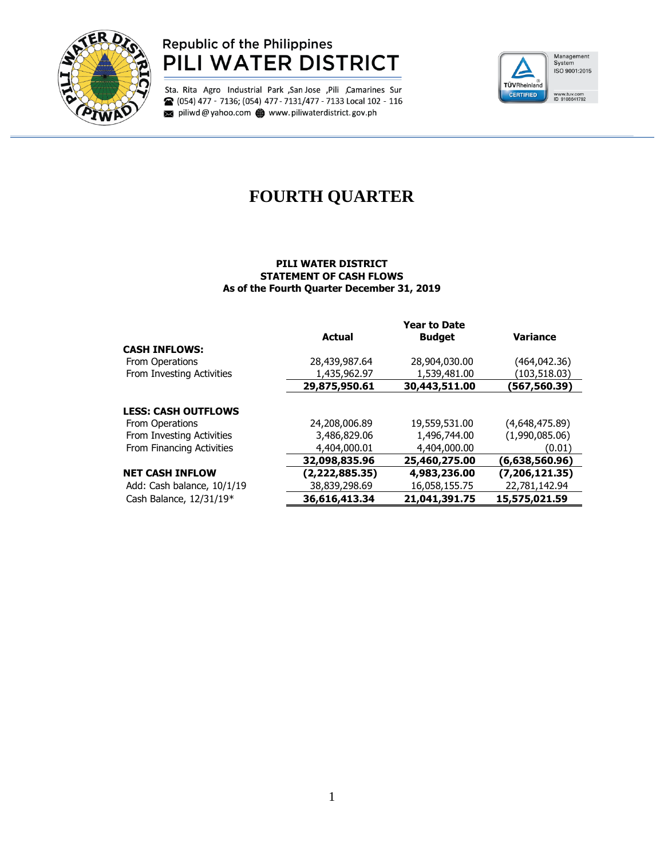

## **Republic of the Philippines** PILI WATER DISTRICT

Sta. Rita Agro Industrial Park , San Jose , Pili , Camarines Sur <sup>2</sup> (054) 477 - 7136; (054) 477 - 7131/477 - 7133 Local 102 - 116 piliwd@yahoo.com www.piliwaterdistrict.gov.ph



# **FOURTH QUARTER**

#### **PILI WATER DISTRICT STATEMENT OF CASH FLOWS As of the Fourth Quarter December 31, 2019**

|                            | <b>Year to Date</b> |               |                  |  |  |
|----------------------------|---------------------|---------------|------------------|--|--|
|                            | <b>Actual</b>       | <b>Budget</b> | <b>Variance</b>  |  |  |
| <b>CASH INFLOWS:</b>       |                     |               |                  |  |  |
| From Operations            | 28,439,987.64       | 28,904,030.00 | (464,042.36)     |  |  |
| From Investing Activities  | 1,435,962.97        | 1,539,481.00  | (103,518.03)     |  |  |
|                            | 29,875,950.61       | 30,443,511.00 | (567,560.39)     |  |  |
| <b>LESS: CASH OUTFLOWS</b> |                     |               |                  |  |  |
| <b>From Operations</b>     | 24,208,006.89       | 19,559,531.00 | (4,648,475.89)   |  |  |
| From Investing Activities  | 3,486,829,06        | 1,496,744.00  | (1,990,085.06)   |  |  |
| From Financing Activities  | 4,404,000.01        | 4,404,000,00  | (0.01)           |  |  |
|                            | 32,098,835.96       | 25,460,275.00 | (6,638,560.96)   |  |  |
| <b>NET CASH INFLOW</b>     | (2,222,885.35)      | 4,983,236.00  | (7, 206, 121.35) |  |  |
| Add: Cash balance, 10/1/19 | 38,839,298.69       | 16,058,155.75 | 22,781,142.94    |  |  |
| Cash Balance, 12/31/19*    | 36,616,413.34       | 21,041,391.75 | 15,575,021.59    |  |  |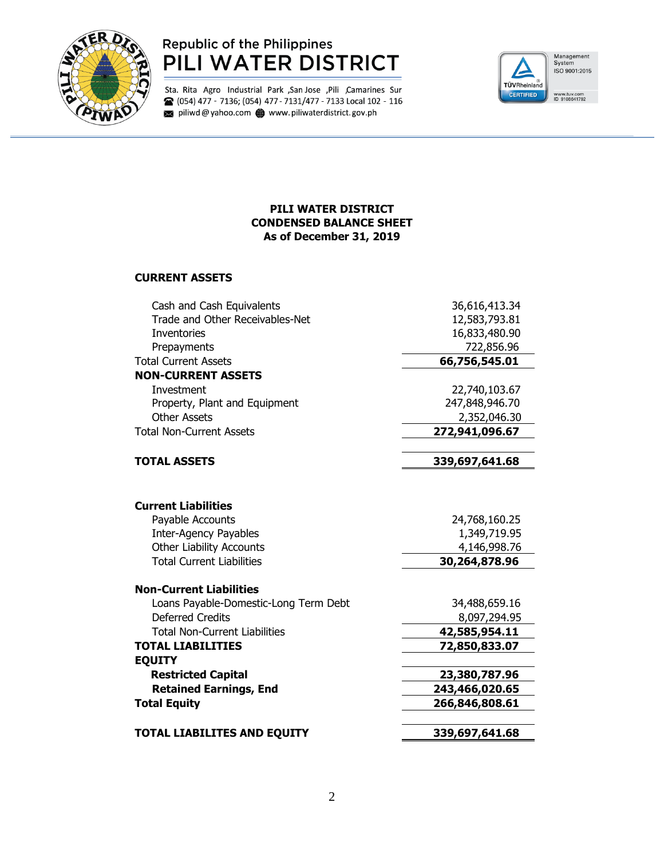

## **Republic of the Philippines** PILI WATER DISTRICT

Sta. Rita Agro Industrial Park , San Jose , Pili , Camarines Sur <sup>2</sup> (054) 477 - 7136; (054) 477 - 7131/477 - 7133 Local 102 - 116 piliwd@yahoo.com www.piliwaterdistrict.gov.ph



### **PILI WATER DISTRICT CONDENSED BALANCE SHEET As of December 31, 2019**

#### **CURRENT ASSETS**

| Cash and Cash Equivalents             | 36,616,413.34  |  |
|---------------------------------------|----------------|--|
| Trade and Other Receivables-Net       | 12,583,793.81  |  |
| <b>Inventories</b>                    | 16,833,480.90  |  |
| Prepayments                           | 722,856.96     |  |
| <b>Total Current Assets</b>           | 66,756,545.01  |  |
| <b>NON-CURRENT ASSETS</b>             |                |  |
| Investment                            | 22,740,103.67  |  |
| Property, Plant and Equipment         | 247,848,946.70 |  |
| <b>Other Assets</b>                   | 2,352,046.30   |  |
| <b>Total Non-Current Assets</b>       | 272,941,096.67 |  |
| <b>TOTAL ASSETS</b>                   | 339,697,641.68 |  |
|                                       |                |  |
| <b>Current Liabilities</b>            |                |  |
| Payable Accounts                      | 24,768,160.25  |  |
| <b>Inter-Agency Payables</b>          | 1,349,719.95   |  |
| <b>Other Liability Accounts</b>       | 4,146,998.76   |  |
| <b>Total Current Liabilities</b>      | 30,264,878.96  |  |
| <b>Non-Current Liabilities</b>        |                |  |
| Loans Payable-Domestic-Long Term Debt | 34,488,659.16  |  |
| <b>Deferred Credits</b>               | 8,097,294.95   |  |
| <b>Total Non-Current Liabilities</b>  | 42,585,954.11  |  |
| <b>TOTAL LIABILITIES</b>              | 72,850,833.07  |  |
| <b>EQUITY</b>                         |                |  |
| <b>Restricted Capital</b>             | 23,380,787.96  |  |
| <b>Retained Earnings, End</b>         | 243,466,020.65 |  |
| <b>Total Equity</b>                   | 266,846,808.61 |  |
| <b>TOTAL LIABILITES AND EQUITY</b>    | 339,697,641.68 |  |